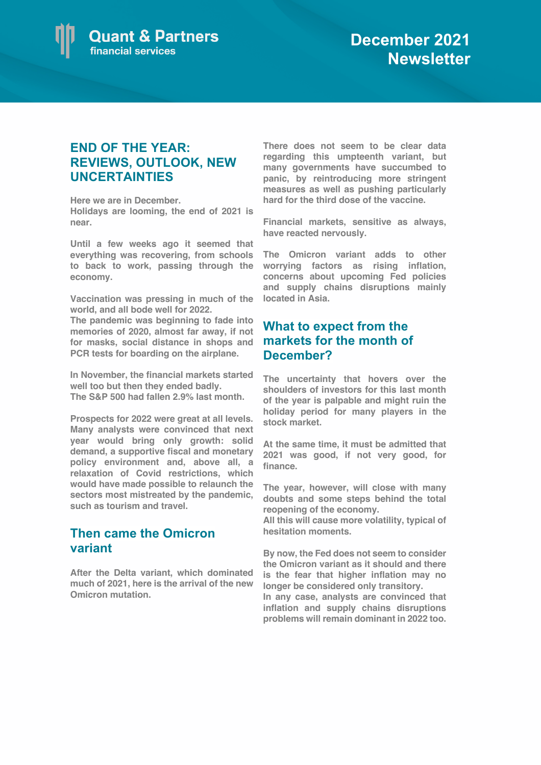

## **END OF THE YEAR: REVIEWS, OUTLOOK, NEW UNCERTAINTIES**

**Here we are in December. Holidays are looming, the end of 2021 is near.**

**Until a few weeks ago it seemed that everything was recovering, from schools to back to work, passing through the economy.** 

**Vaccination was pressing in much of the world, and all bode well for 2022.** 

**The pandemic was beginning to fade into memories of 2020, almost far away, if not for masks, social distance in shops and PCR tests for boarding on the airplane.** 

**In November, the financial markets started well too but then they ended badly. The S&P 500 had fallen 2.9% last month.**

**Prospects for 2022 were great at all levels. Many analysts were convinced that next year would bring only growth: solid demand, a supportive fiscal and monetary policy environment and, above all, a relaxation of Covid restrictions, which would have made possible to relaunch the sectors most mistreated by the pandemic, such as tourism and travel.**

## **Then came the Omicron variant**

**After the Delta variant, which dominated much of 2021, here is the arrival of the new Omicron mutation.** 

**There does not seem to be clear data regarding this umpteenth variant, but many governments have succumbed to panic, by reintroducing more stringent measures as well as pushing particularly hard for the third dose of the vaccine.**

**Financial markets, sensitive as always, have reacted nervously.** 

**The Omicron variant adds to other worrying factors as rising inflation, concerns about upcoming Fed policies and supply chains disruptions mainly located in Asia.**

## **What to expect from the markets for the month of December?**

**The uncertainty that hovers over the shoulders of investors for this last month of the year is palpable and might ruin the holiday period for many players in the stock market.**

**At the same time, it must be admitted that 2021 was good, if not very good, for finance.** 

**The year, however, will close with many doubts and some steps behind the total reopening of the economy.** 

**All this will cause more volatility, typical of hesitation moments.** 

**By now, the Fed does not seem to consider the Omicron variant as it should and there is the fear that higher inflation may no longer be considered only transitory.**

**In any case, analysts are convinced that inflation and supply chains disruptions problems will remain dominant in 2022 too.**